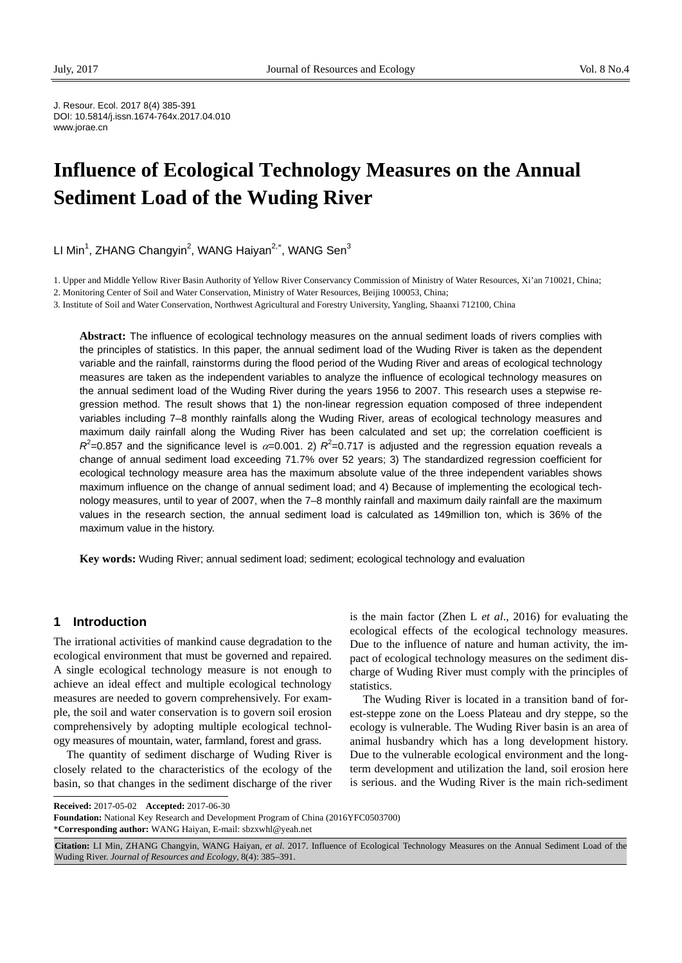J. Resour. Ecol. 2017 8(4) 385-391 DOI: 10.5814/j.issn.1674-764x.2017.04.010 www.jorae.cn

# **Influence of Ecological Technology Measures on the Annual Sediment Load of the Wuding River**

LI Min<sup>1</sup>, ZHANG Changyin<sup>2</sup>, WANG Haiyan<sup>2,\*</sup>, WANG Sen<sup>3</sup>

1. Upper and Middle Yellow River Basin Authority of Yellow River Conservancy Commission of Ministry of Water Resources, Xi'an 710021, China;

2. Monitoring Center of Soil and Water Conservation, Ministry of Water Resources, Beijing 100053, China;

3. Institute of Soil and Water Conservation, Northwest Agricultural and Forestry University, Yangling, Shaanxi 712100, China

**Abstract:** The influence of ecological technology measures on the annual sediment loads of rivers complies with the principles of statistics. In this paper, the annual sediment load of the Wuding River is taken as the dependent variable and the rainfall, rainstorms during the flood period of the Wuding River and areas of ecological technology measures are taken as the independent variables to analyze the influence of ecological technology measures on the annual sediment load of the Wuding River during the years 1956 to 2007. This research uses a stepwise regression method. The result shows that 1) the non-linear regression equation composed of three independent variables including 7–8 monthly rainfalls along the Wuding River, areas of ecological technology measures and maximum daily rainfall along the Wuding River has been calculated and set up; the correlation coefficient is  $R^2$ =0.857 and the significance level is  $\alpha$ =0.001. 2)  $R^2$ =0.717 is adjusted and the regression equation reveals a change of annual sediment load exceeding 71.7% over 52 years; 3) The standardized regression coefficient for ecological technology measure area has the maximum absolute value of the three independent variables shows maximum influence on the change of annual sediment load; and 4) Because of implementing the ecological technology measures, until to year of 2007, when the 7–8 monthly rainfall and maximum daily rainfall are the maximum values in the research section, the annual sediment load is calculated as 149million ton, which is 36% of the maximum value in the history.

**Key words:** Wuding River; annual sediment load; sediment; ecological technology and evaluation

### **1 Introduction**

The irrational activities of mankind cause degradation to the ecological environment that must be governed and repaired. A single ecological technology measure is not enough to achieve an ideal effect and multiple ecological technology measures are needed to govern comprehensively. For example, the soil and water conservation is to govern soil erosion comprehensively by adopting multiple ecological technology measures of mountain, water, farmland, forest and grass.

 $\overline{a}$ The quantity of sediment discharge of Wuding River is closely related to the characteristics of the ecology of the basin, so that changes in the sediment discharge of the river is the main factor (Zhen L *et al*., 2016) for evaluating the ecological effects of the ecological technology measures. Due to the influence of nature and human activity, the impact of ecological technology measures on the sediment discharge of Wuding River must comply with the principles of statistics.

The Wuding River is located in a transition band of forest-steppe zone on the Loess Plateau and dry steppe, so the ecology is vulnerable. The Wuding River basin is an area of animal husbandry which has a long development history. Due to the vulnerable ecological environment and the longterm development and utilization the land, soil erosion here is serious. and the Wuding River is the main rich-sediment

**Foundation:** National Key Research and Development Program of China (2016YFC0503700) \***Corresponding author:** WANG Haiyan, E-mail: sbzxwhl@yeah.net

**Received:** 2017-05-02 **Accepted:** 2017-06-30

**Citation:** LI Min, ZHANG Changyin, WANG Haiyan, *et al*. 2017. Influence of Ecological Technology Measures on the Annual Sediment Load of the Wuding River. *Journal of Resources and Ecology*, 8(4): 385–391.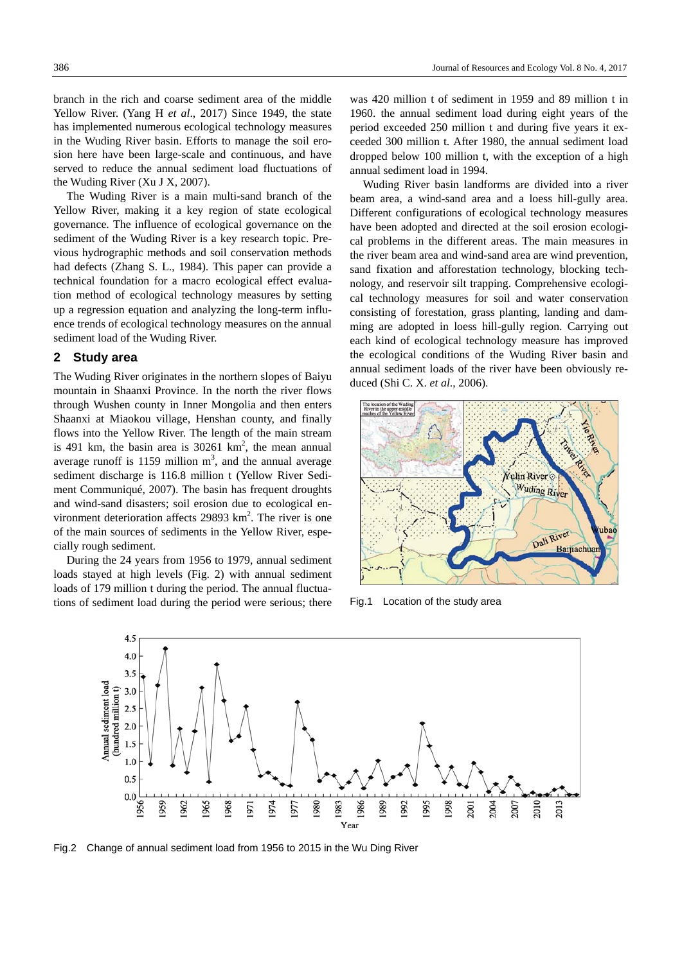branch in the rich and coarse sediment area of the middle Yellow River. (Yang H *et al*., 2017) Since 1949, the state has implemented numerous ecological technology measures in the Wuding River basin. Efforts to manage the soil erosion here have been large-scale and continuous, and have served to reduce the annual sediment load fluctuations of the Wuding River (Xu J X, 2007).

The Wuding River is a main multi-sand branch of the Yellow River, making it a key region of state ecological governance. The influence of ecological governance on the sediment of the Wuding River is a key research topic. Previous hydrographic methods and soil conservation methods had defects (Zhang S. L., 1984). This paper can provide a technical foundation for a macro ecological effect evaluation method of ecological technology measures by setting up a regression equation and analyzing the long-term influence trends of ecological technology measures on the annual sediment load of the Wuding River.

## **2 Study area**

The Wuding River originates in the northern slopes of Baiyu mountain in Shaanxi Province. In the north the river flows through Wushen county in Inner Mongolia and then enters Shaanxi at Miaokou village, Henshan county, and finally flows into the Yellow River. The length of the main stream is 491 km, the basin area is  $30261 \text{ km}^2$ , the mean annual average runoff is 1159 million  $m<sup>3</sup>$ , and the annual average sediment discharge is 116.8 million t (Yellow River Sediment Communiqué, 2007). The basin has frequent droughts and wind-sand disasters; soil erosion due to ecological environment deterioration affects  $29893 \text{ km}^2$ . The river is one of the main sources of sediments in the Yellow River, especially rough sediment.

During the 24 years from 1956 to 1979, annual sediment loads stayed at high levels (Fig. 2) with annual sediment loads of 179 million t during the period. The annual fluctuations of sediment load during the period were serious; there was 420 million t of sediment in 1959 and 89 million t in 1960. the annual sediment load during eight years of the period exceeded 250 million t and during five years it exceeded 300 million t. After 1980, the annual sediment load dropped below 100 million t, with the exception of a high annual sediment load in 1994.

Wuding River basin landforms are divided into a river beam area, a wind-sand area and a loess hill-gully area. Different configurations of ecological technology measures have been adopted and directed at the soil erosion ecological problems in the different areas. The main measures in the river beam area and wind-sand area are wind prevention, sand fixation and afforestation technology, blocking technology, and reservoir silt trapping. Comprehensive ecological technology measures for soil and water conservation consisting of forestation, grass planting, landing and damming are adopted in loess hill-gully region. Carrying out each kind of ecological technology measure has improved the ecological conditions of the Wuding River basin and annual sediment loads of the river have been obviously reduced (Shi C. X. *et al*., 2006).



Fig.1 Location of the study area



Fig.2 Change of annual sediment load from 1956 to 2015 in the Wu Ding River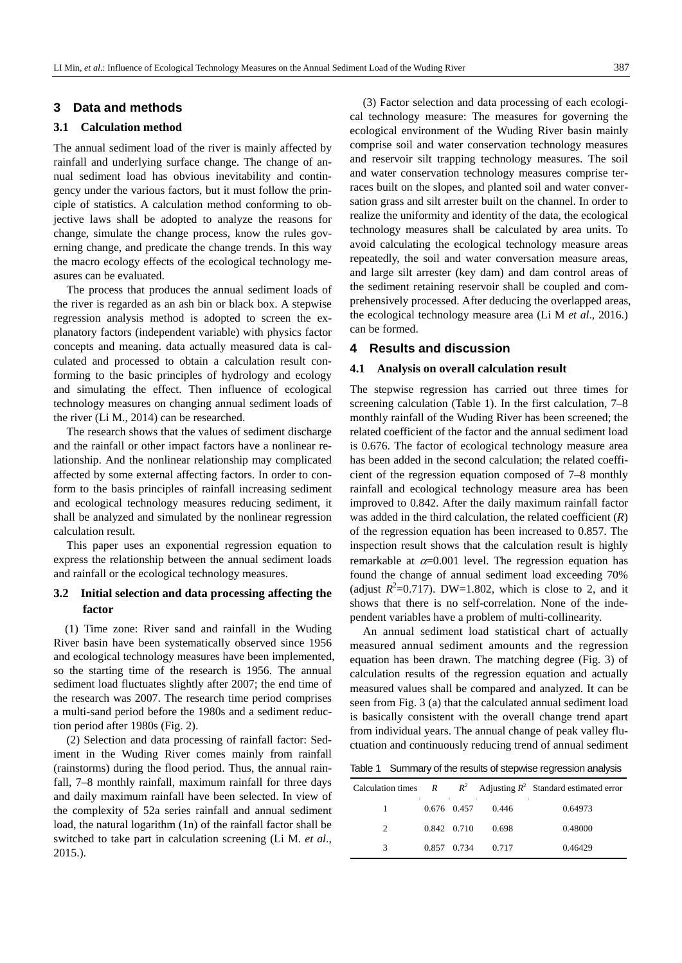# **3 Data and methods**

#### **3.1 Calculation method**

The annual sediment load of the river is mainly affected by rainfall and underlying surface change. The change of annual sediment load has obvious inevitability and contingency under the various factors, but it must follow the principle of statistics. A calculation method conforming to objective laws shall be adopted to analyze the reasons for change, simulate the change process, know the rules governing change, and predicate the change trends. In this way the macro ecology effects of the ecological technology measures can be evaluated.

The process that produces the annual sediment loads of the river is regarded as an ash bin or black box. A stepwise regression analysis method is adopted to screen the explanatory factors (independent variable) with physics factor concepts and meaning. data actually measured data is calculated and processed to obtain a calculation result conforming to the basic principles of hydrology and ecology and simulating the effect. Then influence of ecological technology measures on changing annual sediment loads of the river (Li M., 2014) can be researched.

The research shows that the values of sediment discharge and the rainfall or other impact factors have a nonlinear relationship. And the nonlinear relationship may complicated affected by some external affecting factors. In order to conform to the basis principles of rainfall increasing sediment and ecological technology measures reducing sediment, it shall be analyzed and simulated by the nonlinear regression calculation result.

This paper uses an exponential regression equation to express the relationship between the annual sediment loads and rainfall or the ecological technology measures.

# **3.2 Initial selection and data processing affecting the factor**

(1) Time zone: River sand and rainfall in the Wuding River basin have been systematically observed since 1956 and ecological technology measures have been implemented, so the starting time of the research is 1956. The annual sediment load fluctuates slightly after 2007; the end time of the research was 2007. The research time period comprises a multi-sand period before the 1980s and a sediment reduction period after 1980s (Fig. 2).

(2) Selection and data processing of rainfall factor: Sediment in the Wuding River comes mainly from rainfall (rainstorms) during the flood period. Thus, the annual rainfall, 7–8 monthly rainfall, maximum rainfall for three days and daily maximum rainfall have been selected. In view of the complexity of 52a series rainfall and annual sediment load, the natural logarithm (1n) of the rainfall factor shall be switched to take part in calculation screening (Li M. *et al*., 2015.).

(3) Factor selection and data processing of each ecological technology measure: The measures for governing the ecological environment of the Wuding River basin mainly comprise soil and water conservation technology measures and reservoir silt trapping technology measures. The soil and water conservation technology measures comprise terraces built on the slopes, and planted soil and water conversation grass and silt arrester built on the channel. In order to realize the uniformity and identity of the data, the ecological technology measures shall be calculated by area units. To avoid calculating the ecological technology measure areas repeatedly, the soil and water conversation measure areas, and large silt arrester (key dam) and dam control areas of the sediment retaining reservoir shall be coupled and comprehensively processed. After deducing the overlapped areas, the ecological technology measure area (Li M *et al*., 2016.) can be formed.

### **4 Results and discussion**

## **4.1 Analysis on overall calculation result**

The stepwise regression has carried out three times for screening calculation (Table 1). In the first calculation, 7–8 monthly rainfall of the Wuding River has been screened; the related coefficient of the factor and the annual sediment load is 0.676. The factor of ecological technology measure area has been added in the second calculation; the related coefficient of the regression equation composed of 7–8 monthly rainfall and ecological technology measure area has been improved to 0.842. After the daily maximum rainfall factor was added in the third calculation, the related coefficient (*R*) of the regression equation has been increased to 0.857. The inspection result shows that the calculation result is highly remarkable at  $\alpha$ =0.001 level. The regression equation has found the change of annual sediment load exceeding 70% (adjust  $R^2$ =0.717). DW=1.802, which is close to 2, and it shows that there is no self-correlation. None of the independent variables have a problem of multi-collinearity.

An annual sediment load statistical chart of actually measured annual sediment amounts and the regression equation has been drawn. The matching degree (Fig. 3) of calculation results of the regression equation and actually measured values shall be compared and analyzed. It can be seen from Fig. 3 (a) that the calculated annual sediment load is basically consistent with the overall change trend apart from individual years. The annual change of peak valley fluctuation and continuously reducing trend of annual sediment

Table 1 Summary of the results of stepwise regression analysis

|               |             |                         | Calculation times $R$ $R^2$ Adjusting $R^2$ Standard estimated error |
|---------------|-------------|-------------------------|----------------------------------------------------------------------|
|               |             | $0.676$ $0.457$ $0.446$ | 0.64973                                                              |
| $\mathcal{L}$ | 0.842 0.710 | 0.698                   | 0.48000                                                              |
| 3             | 0.857 0.734 | 0.717                   | 0.46429                                                              |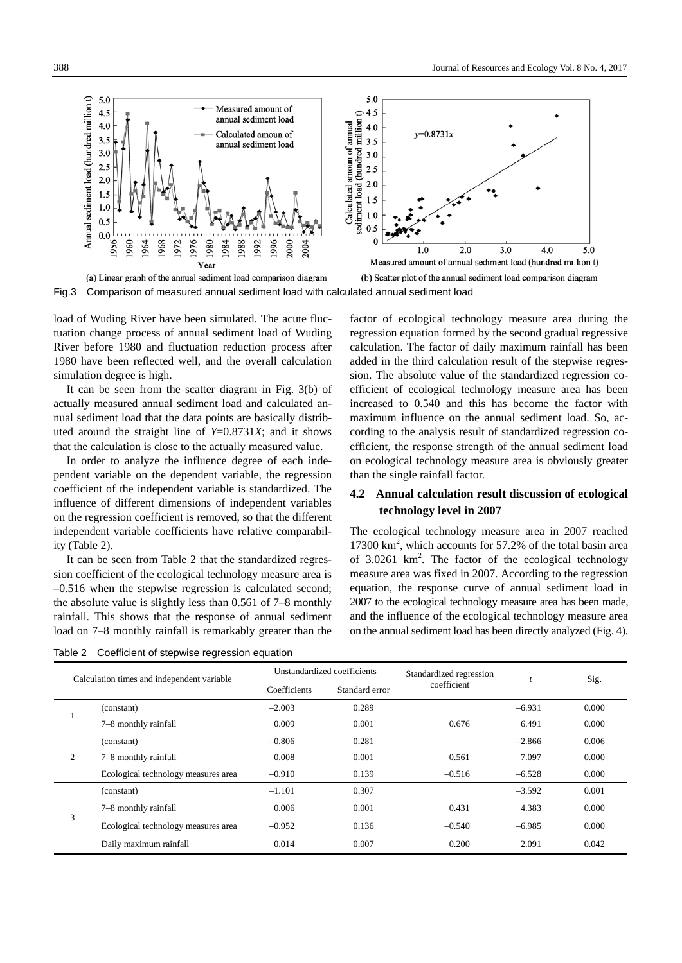

Fig.3 Comparison of measured annual sediment load with calculated annual sediment load

load of Wuding River have been simulated. The acute fluctuation change process of annual sediment load of Wuding River before 1980 and fluctuation reduction process after 1980 have been reflected well, and the overall calculation simulation degree is high.

It can be seen from the scatter diagram in Fig. 3(b) of actually measured annual sediment load and calculated annual sediment load that the data points are basically distributed around the straight line of *Y*=0.8731*X*; and it shows that the calculation is close to the actually measured value.

In order to analyze the influence degree of each independent variable on the dependent variable, the regression coefficient of the independent variable is standardized. The influence of different dimensions of independent variables on the regression coefficient is removed, so that the different independent variable coefficients have relative comparability (Table 2).

It can be seen from Table 2 that the standardized regression coefficient of the ecological technology measure area is –0.516 when the stepwise regression is calculated second; the absolute value is slightly less than 0.561 of 7–8 monthly rainfall. This shows that the response of annual sediment load on 7–8 monthly rainfall is remarkably greater than the



factor of ecological technology measure area during the regression equation formed by the second gradual regressive calculation. The factor of daily maximum rainfall has been added in the third calculation result of the stepwise regression. The absolute value of the standardized regression coefficient of ecological technology measure area has been increased to 0.540 and this has become the factor with maximum influence on the annual sediment load. So, according to the analysis result of standardized regression coefficient, the response strength of the annual sediment load on ecological technology measure area is obviously greater than the single rainfall factor.

# **4.2 Annual calculation result discussion of ecological technology level in 2007**

The ecological technology measure area in 2007 reached 17300 km2 , which accounts for 57.2% of the total basin area of  $3.0261 \text{ km}^2$ . The factor of the ecological technology measure area was fixed in 2007. According to the regression equation, the response curve of annual sediment load in 2007 to the ecological technology measure area has been made, and the influence of the ecological technology measure area on the annual sediment load has been directly analyzed (Fig. 4).

| Calculation times and independent variable |                                     | Unstandardized coefficients |                | Standardized regression |          | Sig.  |
|--------------------------------------------|-------------------------------------|-----------------------------|----------------|-------------------------|----------|-------|
|                                            |                                     | Coefficients                | Standard error | coefficient             |          |       |
|                                            | (constant)                          | $-2.003$                    | 0.289          |                         | $-6.931$ | 0.000 |
|                                            | 7–8 monthly rainfall                | 0.009                       | 0.001          | 0.676                   | 6.491    | 0.000 |
| 2                                          | (constant)                          | $-0.806$                    | 0.281          |                         | $-2.866$ | 0.006 |
|                                            | 7–8 monthly rainfall                | 0.008                       | 0.001          | 0.561                   | 7.097    | 0.000 |
|                                            | Ecological technology measures area | $-0.910$                    | 0.139          | $-0.516$                | $-6.528$ | 0.000 |
| 3                                          | (constant)                          | $-1.101$                    | 0.307          |                         | $-3.592$ | 0.001 |
|                                            | 7–8 monthly rainfall                | 0.006                       | 0.001          | 0.431                   | 4.383    | 0.000 |
|                                            | Ecological technology measures area | $-0.952$                    | 0.136          | $-0.540$                | $-6.985$ | 0.000 |
|                                            | Daily maximum rainfall              | 0.014                       | 0.007          | 0.200                   | 2.091    | 0.042 |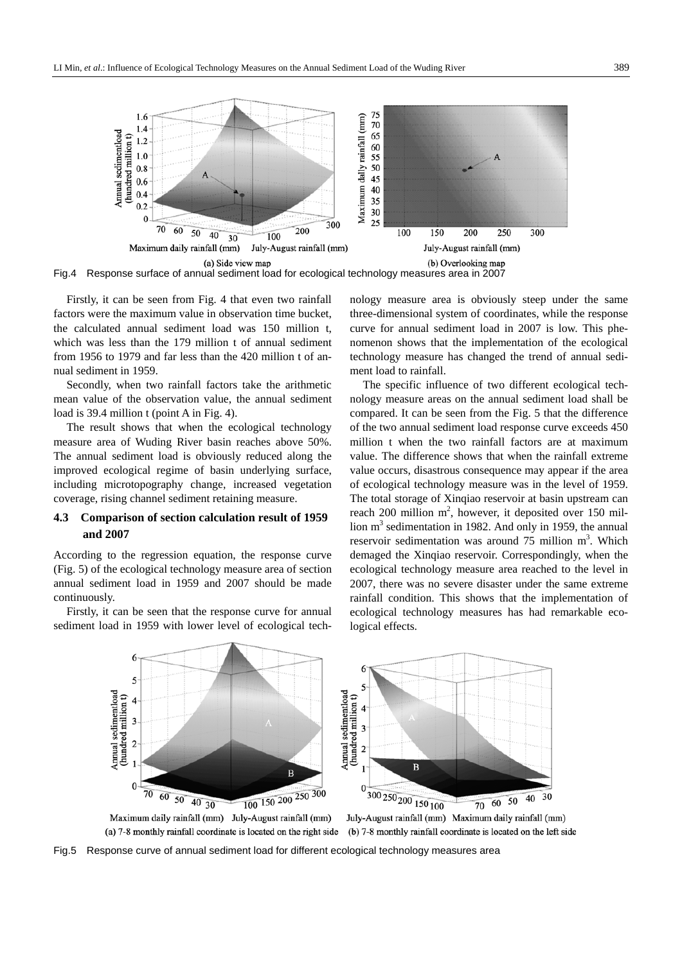

Fig.4 Response surface of annual sediment load for ecological technology measures area in 2007

Firstly, it can be seen from Fig. 4 that even two rainfall factors were the maximum value in observation time bucket, the calculated annual sediment load was 150 million t, which was less than the 179 million t of annual sediment from 1956 to 1979 and far less than the 420 million t of annual sediment in 1959.

Secondly, when two rainfall factors take the arithmetic mean value of the observation value, the annual sediment load is 39.4 million t (point A in Fig. 4).

The result shows that when the ecological technology measure area of Wuding River basin reaches above 50%. The annual sediment load is obviously reduced along the improved ecological regime of basin underlying surface, including microtopography change, increased vegetation coverage, rising channel sediment retaining measure.

# **4.3 Comparison of section calculation result of 1959 and 2007**

According to the regression equation, the response curve (Fig. 5) of the ecological technology measure area of section annual sediment load in 1959 and 2007 should be made continuously.

Firstly, it can be seen that the response curve for annual sediment load in 1959 with lower level of ecological technology measure area is obviously steep under the same three-dimensional system of coordinates, while the response curve for annual sediment load in 2007 is low. This phenomenon shows that the implementation of the ecological technology measure has changed the trend of annual sediment load to rainfall.

The specific influence of two different ecological technology measure areas on the annual sediment load shall be compared. It can be seen from the Fig. 5 that the difference of the two annual sediment load response curve exceeds 450 million t when the two rainfall factors are at maximum value. The difference shows that when the rainfall extreme value occurs, disastrous consequence may appear if the area of ecological technology measure was in the level of 1959. The total storage of Xinqiao reservoir at basin upstream can reach 200 million  $m^2$ , however, it deposited over 150 million  $m<sup>3</sup>$  sedimentation in 1982. And only in 1959, the annual reservoir sedimentation was around  $75$  million  $m<sup>3</sup>$ . Which demaged the Xinqiao reservoir. Correspondingly, when the ecological technology measure area reached to the level in 2007, there was no severe disaster under the same extreme rainfall condition. This shows that the implementation of ecological technology measures has had remarkable ecological effects.



(a) 7-8 monthly rainfall coordinate is located on the right side

(b) 7-8 monthly rainfall coordinate is located on the left side

Fig.5 Response curve of annual sediment load for different ecological technology measures area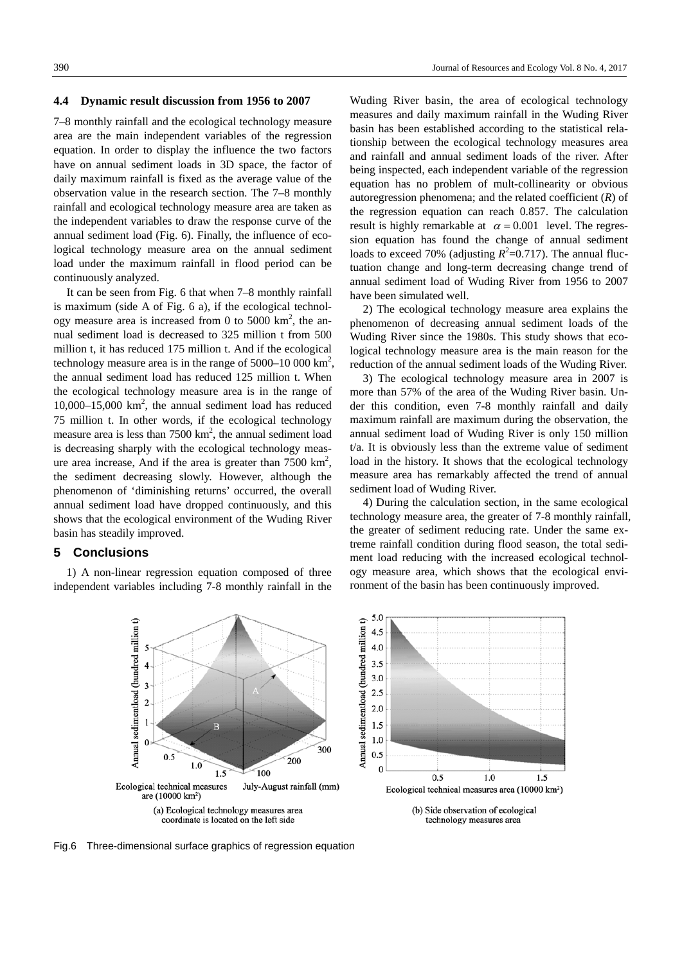#### **4.4 Dynamic result discussion from 1956 to 2007**

7–8 monthly rainfall and the ecological technology measure area are the main independent variables of the regression equation. In order to display the influence the two factors have on annual sediment loads in 3D space, the factor of daily maximum rainfall is fixed as the average value of the observation value in the research section. The 7–8 monthly rainfall and ecological technology measure area are taken as the independent variables to draw the response curve of the annual sediment load (Fig. 6). Finally, the influence of ecological technology measure area on the annual sediment load under the maximum rainfall in flood period can be continuously analyzed.

It can be seen from Fig. 6 that when 7–8 monthly rainfall is maximum (side A of Fig. 6 a), if the ecological technology measure area is increased from 0 to 5000  $\text{km}^2$ , the annual sediment load is decreased to 325 million t from 500 million t, it has reduced 175 million t. And if the ecological technology measure area is in the range of  $5000-10000 \text{ km}^2$ , the annual sediment load has reduced 125 million t. When the ecological technology measure area is in the range of 10,000–15,000 km2 , the annual sediment load has reduced 75 million t. In other words, if the ecological technology measure area is less than  $7500 \text{ km}^2$ , the annual sediment load is decreasing sharply with the ecological technology measure area increase, And if the area is greater than  $7500 \text{ km}^2$ , the sediment decreasing slowly. However, although the phenomenon of 'diminishing returns' occurred, the overall annual sediment load have dropped continuously, and this shows that the ecological environment of the Wuding River basin has steadily improved.

## **5 Conclusions**

1) A non-linear regression equation composed of three independent variables including 7-8 monthly rainfall in the Wuding River basin, the area of ecological technology measures and daily maximum rainfall in the Wuding River basin has been established according to the statistical relationship between the ecological technology measures area and rainfall and annual sediment loads of the river. After being inspected, each independent variable of the regression equation has no problem of mult-collinearity or obvious autoregression phenomena; and the related coefficient (*R*) of the regression equation can reach 0.857. The calculation result is highly remarkable at  $\alpha = 0.001$  level. The regression equation has found the change of annual sediment loads to exceed 70% (adjusting  $R^2=0.717$ ). The annual fluctuation change and long-term decreasing change trend of annual sediment load of Wuding River from 1956 to 2007 have been simulated well.

2) The ecological technology measure area explains the phenomenon of decreasing annual sediment loads of the Wuding River since the 1980s. This study shows that ecological technology measure area is the main reason for the reduction of the annual sediment loads of the Wuding River.

3) The ecological technology measure area in 2007 is more than 57% of the area of the Wuding River basin. Under this condition, even 7-8 monthly rainfall and daily maximum rainfall are maximum during the observation, the annual sediment load of Wuding River is only 150 million t/a. It is obviously less than the extreme value of sediment load in the history. It shows that the ecological technology measure area has remarkably affected the trend of annual sediment load of Wuding River.

4) During the calculation section, in the same ecological technology measure area, the greater of 7-8 monthly rainfall, the greater of sediment reducing rate. Under the same extreme rainfall condition during flood season, the total sediment load reducing with the increased ecological technology measure area, which shows that the ecological environment of the basin has been continuously improved.



Fig.6 Three-dimensional surface graphics of regression equation